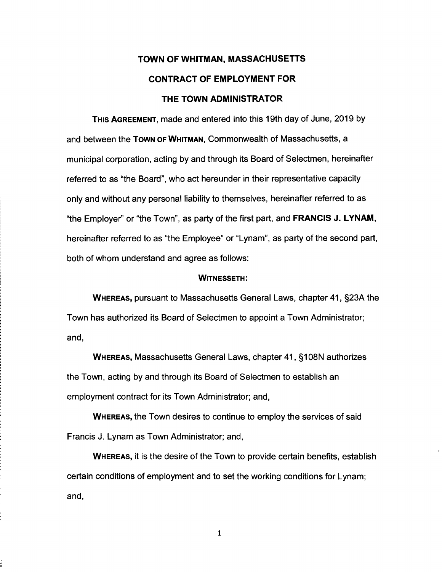# TOWN OF WHITMAN, MASSACHUSETTS CONTRACT OF EMPLOYMENT FOR THE TOWN ADMINISTRATOR

THIS AGREEMENT, made and entered into this 19th day of June, 2019 by and between the Town of WHITMAN, Commonwealth of Massachusetts, a municipal corporation, acting by and through its Board of Selectmen, hereinafter referred to as "the Board", who act hereunder in their representative capacity only and without any personal liability to themselves, hereinafter referred to as "the Employer" or "the Town", as party of the first part, and FRANCIS J. LYNAM, hereinafter referred to as "the Employee" or "Lynam", as party of the second part, both of whom understand and agree as follows:

#### WITNESSETH:

WHEREAS, pursuant to Massachusetts General Laws, chapter 41, §23A the Town has authorized its Board of Selectmen to appoint a Town Administrator; and,

WHEREAS, Massachusetts General Laws, chapter 41, §1 08N authorizes the Town, acting by and through its Board of Selectmen to establish an employment contract for its Town Administrator; and,

WHEREAS, the Town desires to continue to employ the services of said Francis J. Lynam as Town Administrator; and,

WHEREAS, it is the desire of the Town to provide certain benefits, establish certain conditions of employment and to set the working conditions for Lynam; and,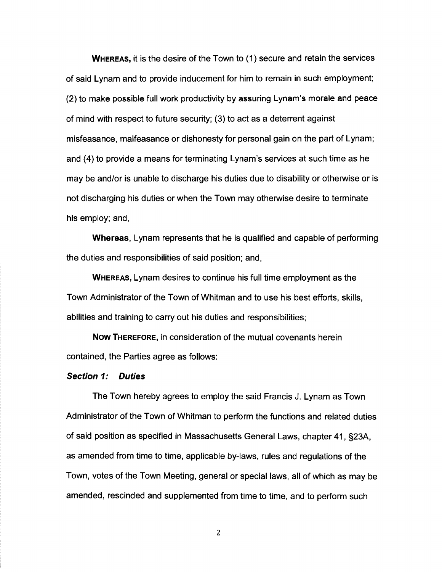**WHEREAS,** it is the desire of the Town to (1) secure and retain the services of said Lynam and to provide inducement for him to remain in such employment; (2) to make possible full work productivity by assuring Lynam's morale and peace of mind with respect to future security; (3) to act as a deterrent against misfeasance, malfeasance or dishonesty for personal gain on the part of Lynam; and (4) to provide a means for terminating Lynam's services at such time as he may be and/or is unable to discharge his duties due to disability or otherwise or is not discharging his duties or when the Town may otherwise desire to terminate his employ; and,

**Whereas,** Lynam represents that he is qualified and capable of performing the duties and responsibilities of said position; and,

**WHEREAS,** Lynam desires to continue his full time employment as the Town Administrator of the Town of Whitman and to use his best efforts, skills, abilities and training to carry out his duties and responsibilities;

**Now THEREFORE,** in consideration of the mutual covenants herein contained, the Parties agree as follows:

#### **Section 1: Duties**

The Town hereby agrees to employ the said Francis J. Lynam as Town Administrator of the Town of Whitman to perform the functions and related duties of said position as specified in Massachusetts General Laws, chapter 41 , §23A, as amended from time to time, applicable by-laws, rules and regulations of the Town, votes of the Town Meeting, general or special laws, all of which as may be amended, rescinded and supplemented from time to time, and to perform such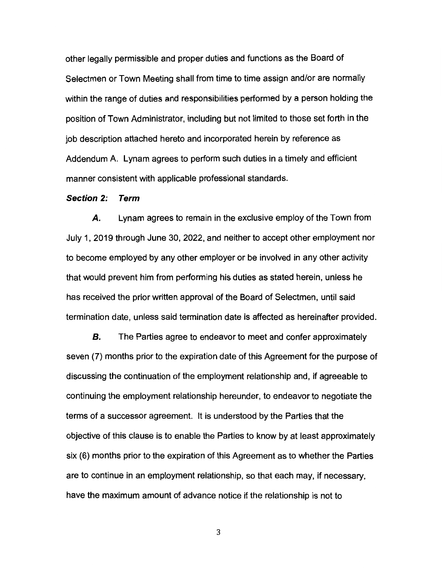other legally permissible and proper duties and functions as the Board of Selectmen or Town Meeting shall from time to time assign and/or are normally within the range of duties and responsibilities performed by a person holding the position of Town Administrator, including but not limited to those set forth in the job description attached hereto and incorporated herein by reference as Addendum A. Lynam agrees to perform such duties in a timely and efficient manner consistent with applicable professional standards.

#### **Section 2: Term**

*A.* Lynam agrees to remain in the exclusive employ of the Town from July 1, 2019 through June 30, 2022, and neither to accept other employment nor to become employed by any other employer or be involved in any other activity that would prevent him from performing his duties as stated herein, unless he has received the prior written approval of the Board of Selectmen, until said termination date, unless said termination date is affected as hereinafter provided.

**B.** The Parties agree to endeavor to meet and confer approximately seven (7) months prior to the expiration date of this Agreement for the purpose of discussing the continuation of the employment relationship and, if agreeable to continuing the employment relationship hereunder, to endeavor to negotiate the terms of a successor agreement. It is understood by the Parties that the objective of this clause is to enable the Parties to know by at least approximately six (6) months prior to the expiration of this Agreement as to whether the Parties are to continue in an employment relationship, so that each may, if necessary, have the maximum amount of advance notice if the relationship is not to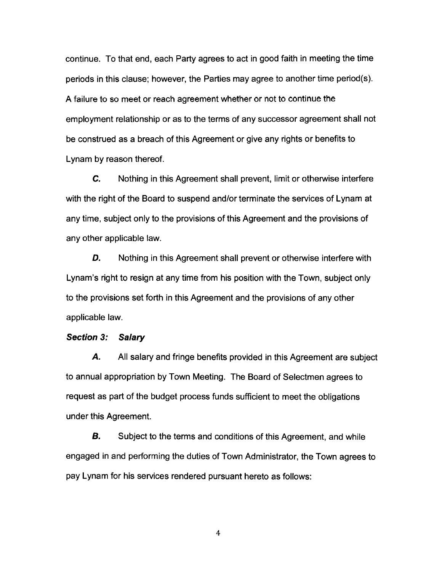continue. To that end, each Party agrees to act in good faith in meeting the time periods in this clause; however, the Parties may agree to another time period(s). A failure to so meet or reach agreement whether or not to continue the employment relationship or as to the terms of any successor agreement shall not be construed as a breach of this Agreement or give any rights or benefits to Lynam by reason thereof.

**C.** Nothing in this Agreement shall prevent, limit or otherwise interfere with the right of the Board to suspend and/or terminate the services of Lynam at any time, subject only to the provisions of this Agreement and the provisions of any other applicable law.

**D.** Nothing in this Agreement shall prevent or otherwise interfere with Lynam's right to resign at any time from his position with the Town, subject only to the provisions set forth in this Agreement and the provisions of any other applicable law.

#### **Section 3: Salary**

*A.* All salary and fringe benefits provided in this Agreement are subject to annual appropriation by Town Meeting. The Board of Selectmen agrees to request as part of the budget process funds sufficient to meet the obligations under this Agreement.

**B.** Subject to the terms and conditions of this Agreement, and while engaged in and performing the duties of Town Administrator, the Town agrees to pay Lynam for his services rendered pursuant hereto as follows: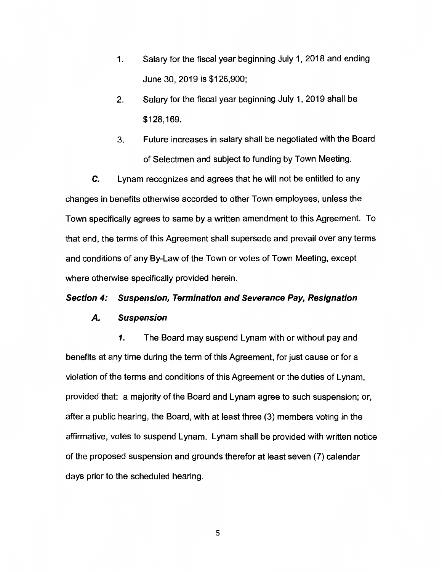- 1. Salary for the fiscal year beginning July 1, 2018 and ending June 30, 2019 is \$126,900;
- 2. Salary for the fiscal year beginning July 1, 2019 shall be \$128,169.
- 3. Future increases in salary shall be negotiated with the Board of Selectmen and subject to funding by Town Meeting.

*C.* Lynam recognizes and agrees that he will not be entitled to any changes in benefits otherwise accorded to other Town employees, unless the Town specifically agrees to same by a written amendment to this Agreement. To that end, the terms of this Agreement shall supersede and prevail over any terms and conditions of any By-Law of the Town or votes of Town Meeting, except where otherwise specifically provided herein.

#### **Section 4: Suspension, Termination and Severance Pay, Resignation**

#### **A. Suspension**

*1.* The Board may suspend Lynam with or without pay and benefits at any time during the term of this Agreement, for just cause or for a violation of the terms and conditions of this Agreement or the duties of Lynam, provided that: a majority of the Board and Lynam agree to such suspension; or, after a public hearing, the Board, with at least three (3) members voting in the affirmative, votes to suspend Lynam. Lynam shall be provided with written notice of the proposed suspension and grounds therefor at least seven (7) calendar days prior to the scheduled hearing.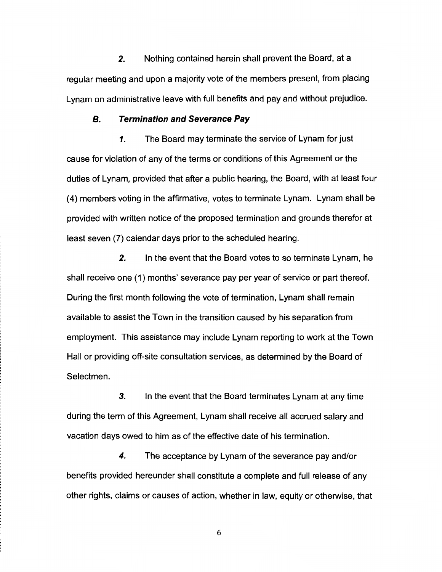**2.** Nothing contained herein shall prevent the Board, at a regular meeting and upon a majority vote of the members present, from placing Lynam on administrative leave with full benefits and pay and without prejudice.

#### **B. Termination and Severance Pay**

**1.** The Board may terminate the service of Lynam for just cause for violation of any of the terms or conditions of this Agreement or the duties of Lynam, provided that after a public hearing, the Board, with at least four (4) members voting in the affirmative, votes to terminate Lynam. Lynam shall be provided with written notice of the proposed termination and grounds therefor at least seven (7) calendar days prior to the scheduled hearing.

*2.* In the event that the Board votes to so terminate Lynam, he shall receive one (1) months' severance pay per year of service or part thereof. During the first month following the vote of termination, Lynam shall remain available to assist the Town in the transition caused by his separation from employment. This assistance may include Lynam reporting to work at the Town Hall or providing off-site consultation services, as determined by the Board of Selectmen.

*3.* In the event that the Board terminates Lynam at any time during the term of this Agreement, Lynam shall receive all accrued salary and vacation days owed to him as of the effective date of his termination.

**4.** The acceptance by Lynam of the severance pay and/or benefits provided hereunder shall constitute a complete and full release of any other rights, claims or causes of action, whether in law, equity or otherwise, that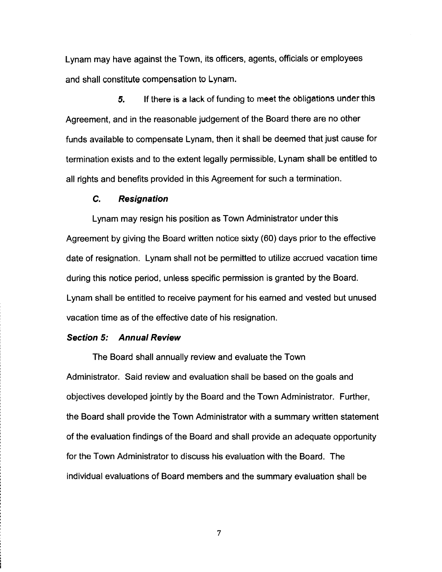Lynam may have against the Town, its officers, agents, officials or employees and shall constitute compensation to Lynam.

*5.* If there is a lack of funding to meet the obligations under this Agreement, and in the reasonable judgement of the Board there are no other funds available to compensate Lynam, then it shall be deemed that just cause for termination exists and to the extent legally permissible, Lynam shall be entitled to all rights and benefits provided in this Agreement for such a termination.

## **C. Resignation**

Lynam may resign his position as Town Administrator under this Agreement by giving the Board written notice sixty (60) days prior to the effective date of resignation. Lynam shall not be permitted to utilize accrued vacation time during this notice period, unless specific permission is granted by the Board. Lynam shall be entitled to receive payment for his earned and vested but unused vacation time as of the effective date of his resignation.

#### **Section 5: Annual Review**

The Board shall annually review and evaluate the Town Administrator. Said review and evaluation shall be based on the goals and objectives developed jointly by the Board and the Town Administrator. Further, the Board shall provide the Town Administrator with a summary written statement of the evaluation findings of the Board and shall provide an adequate opportunity for the Town Administrator to discuss his evaluation with the Board. The individual evaluations of Board members and the summary evaluation shall be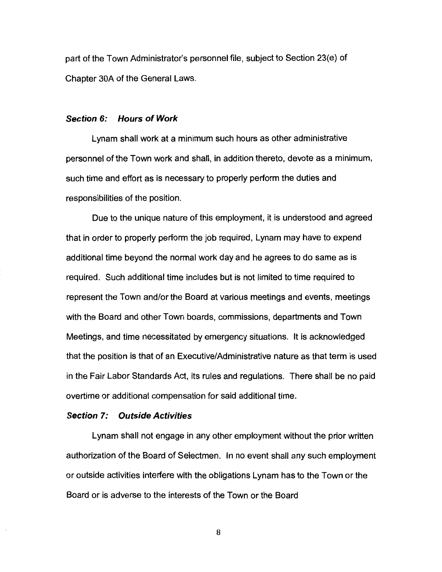part of the Town Administrator's personnel file, subject to Section 23(e) of Chapter 30A of the General Laws.

#### **Section 6: Hours of Work**

Lynam shall work at a minimum such hours as other administrative personnel of the Town work and shall, in addition thereto, devote as a minimum, such time and effort as is necessary to properly perform the duties and responsibilities of the position.

Due to the unique nature of this employment, it is understood and agreed that in order to properly perform the job required, Lynam may have to expend additional time beyond the normal work day and he agrees to do same as is required. Such additional time includes but is not limited to time required to represent the Town and/or the Board at various meetings and events, meetings with the Board and other Town boards, commissions, departments and Town Meetings, and time necessitated by emergency situations. It is acknowledged that the position is that of an Executive/Administrative nature as that term is used in the Fair Labor Standards Act, its rules and regulations. There shall be no paid overtime or additional compensation for said additional time.

#### **Section 7: Outside Activities**

Lynam shall not engage in any other employment without the prior written authorization of the Board of Selectmen. In no event shall any such employment or outside activities interfere with the obligations Lynam has to the Town or the Board or is adverse to the interests of the Town or the Board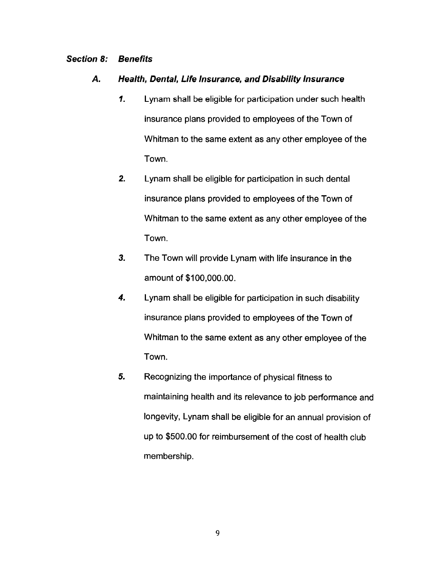## **Section 8: Benefits**

## **A. Health, Dental, Life Insurance, and Disability Insurance**

- **1.** Lynam shall be eligible for participation under such health insurance plans provided to employees of the Town of Whitman to the same extent as any other employee of the Town.
- *2.* Lynam shall be eligible for participation in such dental insurance plans provided to employees of the Town of Whitman to the same extent as any other employee of the Town.
- *3.* The Town will provide Lynam with life insurance in the amount of \$100,000.00.
- *4.* Lynam shall be eligible for participation in such disability insurance plans provided to employees of the Town of Whitman to the same extent as any other employee of the Town.
- *5.* Recognizing the importance of physical fitness to maintaining health and its relevance to job performance and longevity, Lynam shall be eligible for an annual provision of up to \$500.00 for reimbursement of the cost of health club membership.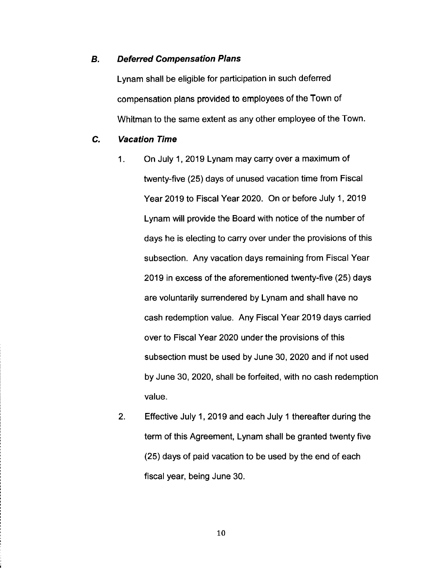## **B. Deferred Compensation Plans**

Lynam shall be eligible for participation in such deferred compensation plans provided to employees of the Town of Whitman to the same extent as any other employee of the Town.

## **C. Vacation Time**

- 1. On July 1, 2019 Lynam may carry over a maximum of twenty-five (25) days of unused vacation time from Fiscal Year 2019 to Fiscal Year 2020. On or before July 1, 2019 Lynam will provide the Board with notice of the number of days he is electing to carry over under the provisions of this subsection. Any vacation days remaining from Fiscal Year 2019 in excess of the aforementioned twenty-five (25) days are voluntarily surrendered by Lynam and shall have no cash redemption value. Any Fiscal Year 2019 days carried over to Fiscal Year 2020 under the provisions of this subsection must be used by June 30, 2020 and if not used by June 30, 2020, shall be forfeited, with no cash redemption value.
- 2. Effective July 1, 2019 and each July 1 thereafter during the term of this Agreement, Lynam shall be granted twenty five (25) days of paid vacation to be used by the end of each fiscal year, being June 30.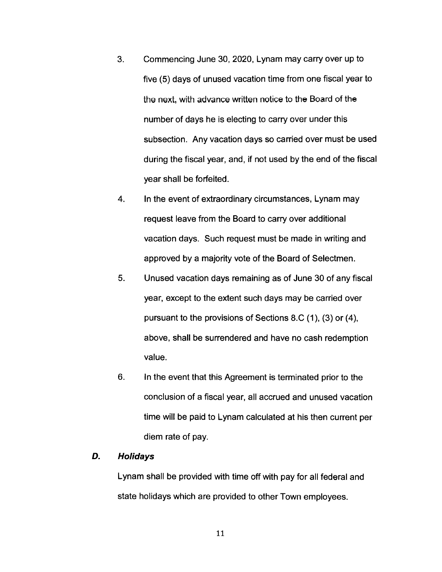- 3. Commencing June 30, 2020, Lynam may carry over up to five (5) days of unused vacation time from one fiscal year to the next, with advance written notice to the Board of the number of days he is electing to carry over under this subsection. Any vacation days so carried over must be used during the fiscal year, and, if not used by the end of the fiscal year shall be forfeited.
- 4. In the event of extraordinary circumstances, Lynam may request leave from the Board to carry over additional vacation days. Such request must be made in writing and approved by a majority vote of the Board of Selectmen.
- 5. Unused vacation days remaining as of June 30 of any fiscal year, except to the extent such days may be carried over pursuant to the provisions of Sections 8.C (1 ), (3) or (4), above, shall be surrendered and have no cash redemption value.
- 6. In the event that this Agreement is terminated prior to the conclusion of a fiscal year, all accrued and unused vacation time will be paid to Lynam calculated at his then current per diem rate of pay.

## **D. Holidays**

Lynam shall be provided with time off with pay for all federal and state holidays which are provided to other Town employees.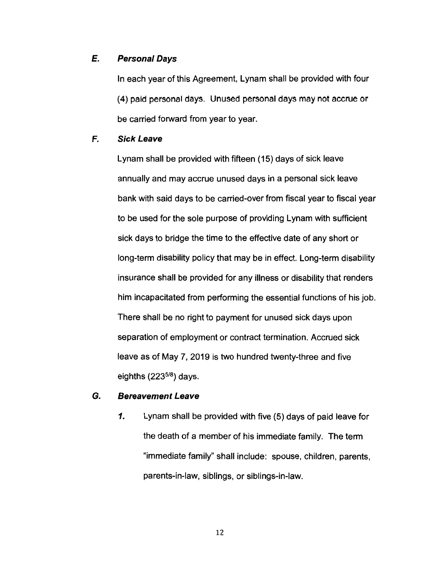## **E. Personal Days**

In each year of this Agreement, Lynam shall be provided with four (4) paid personal days. Unused personal days may not accrue or be carried forward from year to year.

## **F. Sick Leave**

Lynam shall be provided with fifteen (15) days of sick leave annually and may accrue unused days in a personal sick leave bank with said days to be carried-over from fiscal year to fiscal year to be used for the sole purpose of providing Lynam with sufficient sick days to bridge the time to the effective date of any short or long-term disability policy that may be in effect. Long-term disability insurance shall be provided for any illness or disability that renders him incapacitated from performing the essential functions of his job. There shall be no right to payment for unused sick days upon separation of employment or contract termination. Accrued sick leave as of May 7, 2019 is two hundred twenty-three and five eighths  $(223^{5/8})$  days.

## **G. Bereavement Leave**

**1.** Lynam shall be provided with five (5) days of paid leave for the death of a member of his immediate family. The term "immediate family" shall include: spouse, children, parents, parents-in-law, siblings, or siblings-in-law.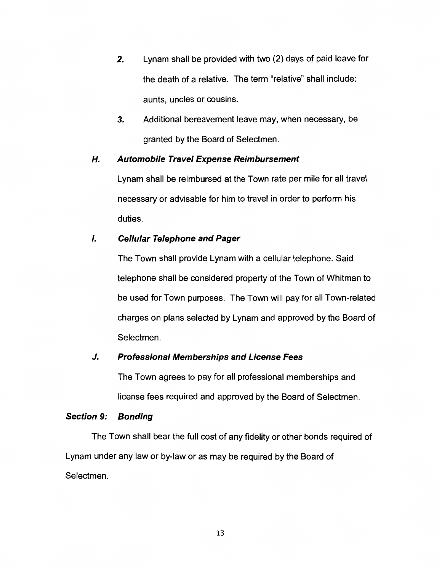- **2.** Lynam shall be provided with two (2) days of paid leave for the death of a relative. The term "relative" shall include: aunts, uncles or cousins.
- *3.* Additional bereavement leave may, when necessary, be granted by the Board of Selectmen.

# **H. Automobile Travel Expense Reimbursement**

Lynam shall be reimbursed at the Town rate per mile for all travel necessary or advisable for him to travel in order to perform his duties.

# I. **Cellular Telephone and Pager**

The Town shall provide Lynam with a cellular telephone. Said telephone shall be considered property of the Town of Whitman to be used for Town purposes. The Town will pay for all Town-related charges on plans selected by Lynam and approved by the Board of Selectmen.

## **J. Professional Memberships and License Fees**

The Town agrees to pay for all professional memberships and license fees required and approved by the Board of Selectmen.

## **Section 9: Bonding**

The Town shall bear the full cost of any fidelity or other bonds required of Lynam under any law or by-law or as may be required by the Board of Selectmen.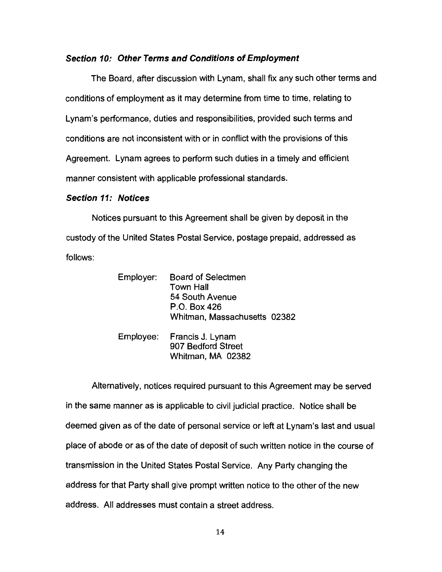#### **Section 10: Other Terms and Conditions of Employment**

The Board, after discussion with Lynam, shall fix any such other terms and conditions of employment as it may determine from time to time, relating to Lynam's performance, duties and responsibilities, provided such terms and conditions are not inconsistent with or in conflict with the provisions of this Agreement. Lynam agrees to perform such duties in a timely and efficient manner consistent with applicable professional standards.

#### **Section 11: Notices**

Notices pursuant to this Agreement shall be given by deposit in the custody of the United States Postal Service, postage prepaid, addressed as follows:

| Employer: | <b>Board of Selectmen</b><br><b>Town Hall</b><br>54 South Avenue<br>P.O. Box 426 |  |
|-----------|----------------------------------------------------------------------------------|--|
|           | Whitman, Massachusetts 02382                                                     |  |
| Employee: | Francis J. Lynam<br>907 Bedford Street<br>Whitman, MA 02382                      |  |

Alternatively, notices required pursuant to this Agreement may be served in the same manner as is applicable to civil judicial practice. Notice shall be deemed given as of the date of personal service or left at Lynam's last and usual place of abode or as of the date of deposit of such written notice in the course of transmission in the United States Postal Service. Any Party changing the address for that Party shall give prompt written notice to the other of the new address. All addresses must contain a street address.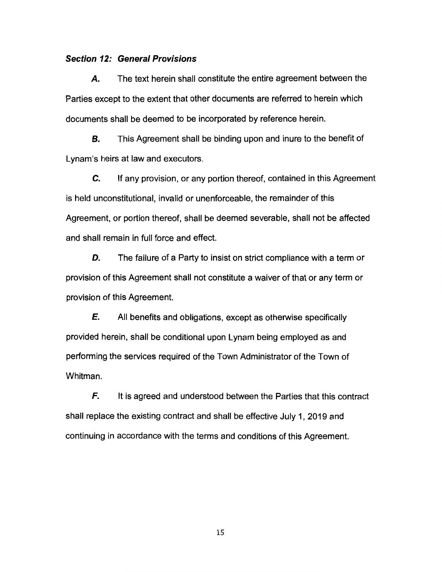#### **Section 12: General Provisions**

*A.* The text herein shall constitute the entire agreement between the Parties except to the extent that other documents are referred to herein which documents shall be deemed to be incorporated by reference herein.

**B.** This Agreement shall be binding upon and inure to the benefit of Lynam's heirs at law and executors.

*C.* If any provision, or any portion thereof, contained in this Agreement is held unconstitutional, invalid or unenforceable, the remainder of this Agreement, or portion thereof, shall be deemed severable, shall not be affected and shall remain in full force and effect.

**D.** The failure of a Party to insist on strict compliance with a term or provision of this Agreement shall not constitute a waiver of that or any term or provision of this Agreement.

**E.** All benefits and obligations, except as otherwise specifically provided herein, shall be conditional upon Lynam being employed as and performing the services required of the Town Administrator of the Town of Whitman.

**F.** It is agreed and understood between the Parties that this contract shall replace the existing contract and shall be effective July 1, 2019 and continuing in accordance with the terms and conditions of this Agreement.